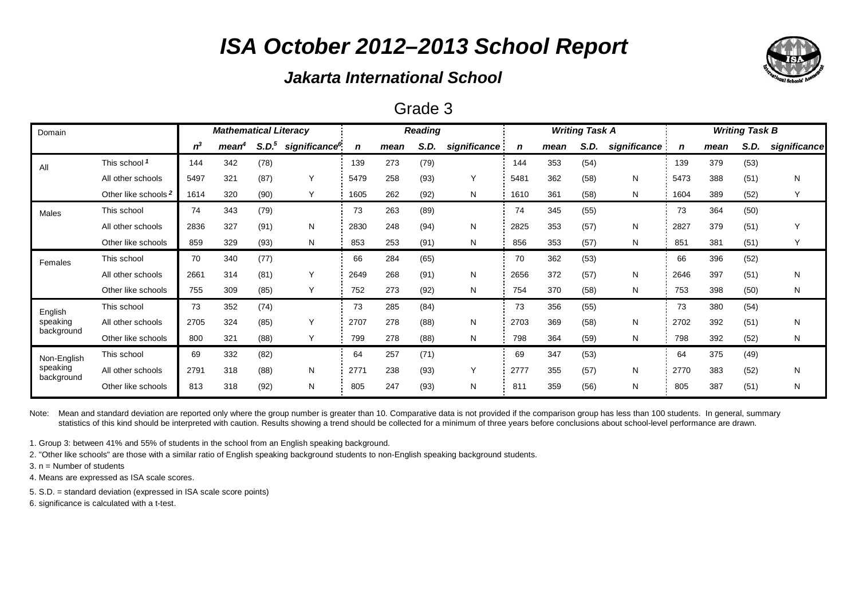## *Jakarta International School*

### Grade 3

| Domain                 |                                 | <b>Mathematical Literacy</b> |                   |                   |                           |      | <b>Reading</b> |      |              |      | <b>Writing Task A</b> |      | <b>Writing Task B</b> |      |      |      |              |
|------------------------|---------------------------------|------------------------------|-------------------|-------------------|---------------------------|------|----------------|------|--------------|------|-----------------------|------|-----------------------|------|------|------|--------------|
|                        |                                 | $n^3$                        | mean <sup>4</sup> | S.D. <sup>5</sup> | significance <sup>6</sup> | n    | mean           | S.D. | significance | n    | mean                  | S.D. | significance          | n    | mean | S.D. | significance |
| All                    | This school 1                   | 144                          | 342               | (78)              |                           | 139  | 273            | (79) |              | 144  | 353                   | (54) |                       | 139  | 379  | (53) |              |
|                        | All other schools               | 5497                         | 321               | (87)              |                           | 5479 | 258            | (93) | Y            | 5481 | 362                   | (58) | N                     | 5473 | 388  | (51) | Ν            |
|                        | Other like schools <sup>2</sup> | 1614                         | 320               | (90)              | Υ                         | 1605 | 262            | (92) | N            | 1610 | 361                   | (58) | N                     | 1604 | 389  | (52) | Υ            |
| Males                  | This school                     | 74                           | 343               | (79)              |                           | 73   | 263            | (89) |              | 74   | 345                   | (55) |                       | 73   | 364  | (50) |              |
|                        | All other schools               | 2836                         | 327               | (91)              | N                         | 2830 | 248            | (94) | N            | 2825 | 353                   | (57) | N                     | 2827 | 379  | (51) | $\checkmark$ |
|                        | Other like schools              | 859                          | 329               | (93)              | N                         | 853  | 253            | (91) | N            | 856  | 353                   | (57) | N                     | 851  | 381  | (51) | Υ            |
| Females                | This school                     | 70                           | 340               | (77)              |                           | 66   | 284            | (65) |              | 70   | 362                   | (53) |                       | 66   | 396  | (52) |              |
|                        | All other schools               | 2661                         | 314               | (81)              |                           | 2649 | 268            | (91) | N            | 2656 | 372                   | (57) | N                     | 2646 | 397  | (51) | Ν            |
|                        | Other like schools              | 755                          | 309               | (85)              | Υ                         | 752  | 273            | (92) | N            | 754  | 370                   | (58) | N                     | 753  | 398  | (50) | N            |
| English                | This school                     | 73                           | 352               | (74)              |                           | 73   | 285            | (84) |              | 73   | 356                   | (55) |                       | 73   | 380  | (54) |              |
| speaking               | All other schools               | 2705                         | 324               | (85)              | Υ                         | 2707 | 278            | (88) | N            | 2703 | 369                   | (58) | N                     | 2702 | 392  | (51) | N            |
| background             | Other like schools              | 800                          | 321               | (88)              | Υ                         | 799  | 278            | (88) | N            | 798  | 364                   | (59) | N                     | 798  | 392  | (52) | N            |
| Non-English            | This school                     | 69                           | 332               | (82)              |                           | 64   | 257            | (71) |              | 69   | 347                   | (53) |                       | 64   | 375  | (49) |              |
| speaking<br>background | All other schools               | 2791                         | 318               | (88)              | N                         | 2771 | 238            | (93) | Y            | 2777 | 355                   | (57) | N                     | 2770 | 383  | (52) | Ν            |
|                        | Other like schools              | 813                          | 318               | (92)              | N                         | 805  | 247            | (93) | N            | 81'  | 359                   | (56) | N                     | 805  | 387  | (51) | Ν            |

Note: Mean and standard deviation are reported only where the group number is greater than 10. Comparative data is not provided if the comparison group has less than 100 students. In general, summary statistics of this kind should be interpreted with caution. Results showing a trend should be collected for a minimum of three years before conclusions about school-level performance are drawn.

1. Group 3: between 41% and 55% of students in the school from an English speaking background.

2. "Other like schools" are those with a similar ratio of English speaking background students to non-English speaking background students.

3. n = Number of students

4. Means are expressed as ISA scale scores.

5. S.D. = standard deviation (expressed in ISA scale score points)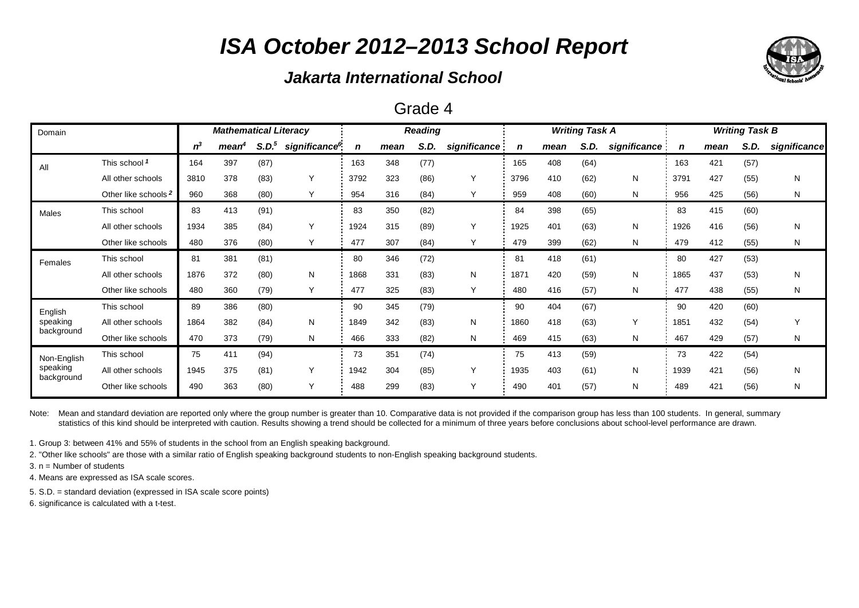## *Jakarta International School*

#### Grade 4

| Domain                 |                      | <b>Mathematical Literacy</b> |                   |                   |                           |      | <b>Reading</b> |      |              |      | <b>Writing Task A</b> |      | <b>Writing Task B</b> |      |      |      |              |
|------------------------|----------------------|------------------------------|-------------------|-------------------|---------------------------|------|----------------|------|--------------|------|-----------------------|------|-----------------------|------|------|------|--------------|
|                        |                      | $n^3$                        | mean <sup>4</sup> | S.D. <sup>5</sup> | significance <sup>6</sup> | n    | mean           | S.D. | significance | n    | mean                  | S.D. | significance          | n    | mean | S.D. | significance |
| All                    | This school 1        | 164                          | 397               | (87)              |                           | 163  | 348            | (77) |              | 165  | 408                   | (64) |                       | 163  | 421  | (57) |              |
|                        | All other schools    | 3810                         | 378               | (83)              | Υ                         | 3792 | 323            | (86) | Y            | 3796 | 410                   | (62) | N                     | 3791 | 427  | (55) | N            |
|                        | Other like schools 2 | 960                          | 368               | (80)              | Y                         | 954  | 316            | (84) | Y            | 959  | 408                   | (60) | N                     | 956  | 425  | (56) | N            |
| Males                  | This school          | 83                           | 413               | (91)              |                           | 83   | 350            | (82) |              | 84   | 398                   | (65) |                       | 83   | 415  | (60) |              |
|                        | All other schools    | 1934                         | 385               | (84)              | Υ                         | 1924 | 315            | (89) | Y            | 1925 | 401                   | (63) | N                     | 1926 | 416  | (56) | N            |
|                        | Other like schools   | 480                          | 376               | (80)              | Y                         | 477  | 307            | (84) | Y            | 479  | 399                   | (62) | N                     | 479  | 412  | (55) | N            |
| Females                | This school          | 81                           | 381               | (81)              |                           | 80   | 346            | (72) |              | 81   | 418                   | (61) |                       | 80   | 427  | (53) |              |
|                        | All other schools    | 1876                         | 372               | (80)              | N                         | 1868 | 331            | (83) | N            | 1871 | 420                   | (59) | N                     | 1865 | 437  | (53) | N            |
|                        | Other like schools   | 480                          | 360               | (79)              | Y                         | 477  | 325            | (83) | Y            | 480  | 416                   | (57) | N                     | 477  | 438  | (55) | N            |
| English                | This school          | 89                           | 386               | (80)              |                           | 90   | 345            | (79) |              | 90   | 404                   | (67) |                       | 90   | 420  | (60) |              |
| speaking               | All other schools    | 1864                         | 382               | (84)              | N                         | 1849 | 342            | (83) | N            | 1860 | 418                   | (63) | Y                     | 1851 | 432  | (54) | Υ            |
| background             | Other like schools   | 470                          | 373               | (79)              | N                         | 466  | 333            | (82) | N            | 469  | 415                   | (63) | N                     | 467  | 429  | (57) | N            |
| Non-English            | This school          | 75                           | 411               | (94)              |                           | 73   | 351            | (74) |              | 75   | 413                   | (59) |                       | 73   | 422  | (54) |              |
| speaking<br>background | All other schools    | 1945                         | 375               | (81)              | Υ                         | 1942 | 304            | (85) | Y            | 1935 | 403                   | (61) | N                     | 1939 | 421  | (56) | N            |
|                        | Other like schools   | 490                          | 363               | (80)              | Υ                         | 488  | 299            | (83) | Y            | 490  | 401                   | (57) | N                     | 489  | 421  | (56) | N            |

Note: Mean and standard deviation are reported only where the group number is greater than 10. Comparative data is not provided if the comparison group has less than 100 students. In general, summary statistics of this kind should be interpreted with caution. Results showing a trend should be collected for a minimum of three years before conclusions about school-level performance are drawn.

1. Group 3: between 41% and 55% of students in the school from an English speaking background.

2. "Other like schools" are those with a similar ratio of English speaking background students to non-English speaking background students.

3. n = Number of students

4. Means are expressed as ISA scale scores.

5. S.D. = standard deviation (expressed in ISA scale score points)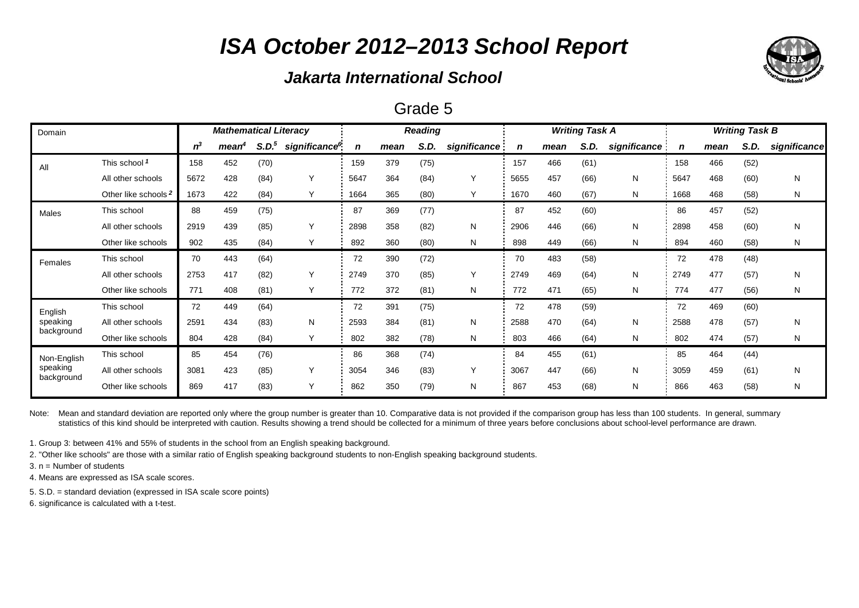## *Jakarta International School*

### Grade 5

| Domain                 |                                 | <b>Mathematical Literacy</b> |                   |                   |                           |      | <b>Reading</b> |      |              |      | <b>Writing Task A</b> |      | <b>Writing Task B</b> |      |      |      |              |
|------------------------|---------------------------------|------------------------------|-------------------|-------------------|---------------------------|------|----------------|------|--------------|------|-----------------------|------|-----------------------|------|------|------|--------------|
|                        |                                 | $n^3$                        | mean <sup>4</sup> | S.D. <sup>5</sup> | significance <sup>6</sup> | n    | mean           | S.D. | significance | n    | mean                  | S.D. | significance          | n    | mean | S.D. | significance |
| All                    | This school 1                   | 158                          | 452               | (70)              |                           | 159  | 379            | (75) |              | 157  | 466                   | (61) |                       | 158  | 466  | (52) |              |
|                        | All other schools               | 5672                         | 428               | (84)              | Y                         | 5647 | 364            | (84) | Y            | 5655 | 457                   | (66) | N                     | 5647 | 468  | (60) | N            |
|                        | Other like schools <sup>2</sup> | 1673                         | 422               | (84)              | Υ                         | 1664 | 365            | (80) | Y            | 1670 | 460                   | (67) | N                     | 1668 | 468  | (58) | N            |
| Males                  | This school                     | 88                           | 459               | (75)              |                           | 87   | 369            | (77) |              | 87   | 452                   | (60) |                       | 86   | 457  | (52) |              |
|                        | All other schools               | 2919                         | 439               | (85)              | Υ                         | 2898 | 358            | (82) | N            | 2906 | 446                   | (66) | N                     | 2898 | 458  | (60) | N            |
|                        | Other like schools              | 902                          | 435               | (84)              | Υ                         | 892  | 360            | (80) | N            | 898  | 449                   | (66) | N                     | 894  | 460  | (58) | N            |
| Females                | This school                     | 70                           | 443               | (64)              |                           | 72   | 390            | (72) |              | 70   | 483                   | (58) |                       | 72   | 478  | (48) |              |
|                        | All other schools               | 2753                         | 417               | (82)              | Υ                         | 2749 | 370            | (85) | Y            | 2749 | 469                   | (64) | N                     | 2749 | 477  | (57) | N            |
|                        | Other like schools              | 771                          | 408               | (81)              | Y                         | 772  | 372            | (81) | N            | 772  | 471                   | (65) | N                     | 774  | 477  | (56) | N            |
| English                | This school                     | 72                           | 449               | (64)              |                           | 72   | 391            | (75) |              | 72   | 478                   | (59) |                       | 72   | 469  | (60) |              |
| speaking               | All other schools               | 2591                         | 434               | (83)              | N                         | 2593 | 384            | (81) | N            | 2588 | 470                   | (64) | N                     | 2588 | 478  | (57) | N            |
| background             | Other like schools              | 804                          | 428               | (84)              | Y                         | 802  | 382            | (78) | N            | 803  | 466                   | (64) | N                     | 802  | 474  | (57) | N            |
| Non-English            | This school                     | 85                           | 454               | (76)              |                           | 86   | 368            | (74) |              | 84   | 455                   | (61) |                       | 85   | 464  | (44) |              |
| speaking<br>background | All other schools               | 3081                         | 423               | (85)              | Υ                         | 3054 | 346            | (83) | Y            | 3067 | 447                   | (66) | N                     | 3059 | 459  | (61) | N            |
|                        | Other like schools              | 869                          | 417               | (83)              | Y                         | 862  | 350            | (79) | N            | 867  | 453                   | (68) | N                     | 866  | 463  | (58) | N            |

Note: Mean and standard deviation are reported only where the group number is greater than 10. Comparative data is not provided if the comparison group has less than 100 students. In general, summary statistics of this kind should be interpreted with caution. Results showing a trend should be collected for a minimum of three years before conclusions about school-level performance are drawn.

1. Group 3: between 41% and 55% of students in the school from an English speaking background.

2. "Other like schools" are those with a similar ratio of English speaking background students to non-English speaking background students.

3. n = Number of students

4. Means are expressed as ISA scale scores.

5. S.D. = standard deviation (expressed in ISA scale score points)

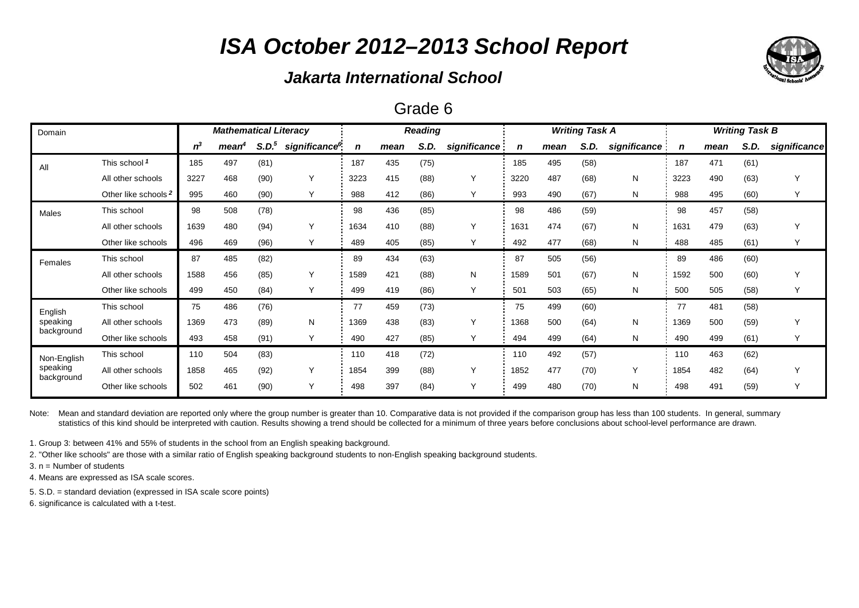## *Jakarta International School*

### Grade 6

| Domain                 |                                 | <b>Mathematical Literacy</b> |                   |                   |                           |             | <b>Reading</b> |      |              |      | <b>Writing Task A</b> |      | <b>Writing Task B</b> |      |      |      |              |
|------------------------|---------------------------------|------------------------------|-------------------|-------------------|---------------------------|-------------|----------------|------|--------------|------|-----------------------|------|-----------------------|------|------|------|--------------|
|                        |                                 | $n^3$                        | mean <sup>4</sup> | S.D. <sup>5</sup> | significance <sup>6</sup> | $\mathbf n$ | mean           | S.D. | significance |      | mean                  | S.D. | significance          | n    | mean | S.D. | significance |
| All                    | This school 1                   | 185                          | 497               | (81)              |                           | 187         | 435            | (75) |              | 185  | 495                   | (58) |                       | 187  | 471  | (61) |              |
|                        | All other schools               | 3227                         | 468               | (90)              | Υ                         | 3223        | 415            | (88) | Y            | 3220 | 487                   | (68) | N                     | 3223 | 490  | (63) | $\checkmark$ |
|                        | Other like schools <sup>2</sup> | 995                          | 460               | (90)              | Υ                         | 988         | 412            | (86) | Υ            | 993  | 490                   | (67) | N                     | 988  | 495  | (60) |              |
| Males                  | This school                     | 98                           | 508               | (78)              |                           | 98          | 436            | (85) |              | 98   | 486                   | (59) |                       | 98   | 457  | (58) |              |
|                        | All other schools               | 1639                         | 480               | (94)              | Y                         | 1634        | 410            | (88) | Y            | 1631 | 474                   | (67) | N                     | 1631 | 479  | (63) |              |
|                        | Other like schools              | 496                          | 469               | (96)              | Y                         | 489         | 405            | (85) | Υ            | 492  | 477                   | (68) | Ν                     | 488  | 485  | (61) |              |
| Females                | This school                     | 87                           | 485               | (82)              |                           | 89          | 434            | (63) |              | 87   | 505                   | (56) |                       | 89   | 486  | (60) |              |
|                        | All other schools               | 1588                         | 456               | (85)              | Υ                         | 1589        | 421            | (88) | N            | 1589 | 501                   | (67) | N                     | 1592 | 500  | (60) | Υ            |
|                        | Other like schools              | 499                          | 450               | (84)              | Y                         | 499         | 419            | (86) | Y            | 501  | 503                   | (65) | Ν                     | 500  | 505  | (58) |              |
| English                | This school                     | 75                           | 486               | (76)              |                           | 77          | 459            | (73) |              | 75   | 499                   | (60) |                       | 77   | 481  | (58) |              |
| speaking               | All other schools               | 1369                         | 473               | (89)              | N                         | 1369        | 438            | (83) | Y            | 1368 | 500                   | (64) | N                     | 1369 | 500  | (59) | Υ            |
| background             | Other like schools              | 493                          | 458               | (91)              | Υ                         | 490         | 427            | (85) | Y            | 494  | 499                   | (64) | N                     | 490  | 499  | (61) |              |
| Non-English            | This school                     | 110                          | 504               | (83)              |                           | 110         | 418            | (72) |              | 110  | 492                   | (57) |                       | 110  | 463  | (62) |              |
| speaking<br>background | All other schools               | 1858                         | 465               | (92)              | Υ                         | 1854        | 399            | (88) | Y            | 1852 | 477                   | (70) | $\checkmark$          | 1854 | 482  | (64) | Υ            |
|                        | Other like schools              | 502                          | 461               | (90)              | Υ                         | 498         | 397            | (84) | Υ            | 499  | 480                   | (70) | N                     | 498  | 491  | (59) | Y            |

Note: Mean and standard deviation are reported only where the group number is greater than 10. Comparative data is not provided if the comparison group has less than 100 students. In general, summary statistics of this kind should be interpreted with caution. Results showing a trend should be collected for a minimum of three years before conclusions about school-level performance are drawn.

1. Group 3: between 41% and 55% of students in the school from an English speaking background.

2. "Other like schools" are those with a similar ratio of English speaking background students to non-English speaking background students.

3. n = Number of students

4. Means are expressed as ISA scale scores.

5. S.D. = standard deviation (expressed in ISA scale score points)

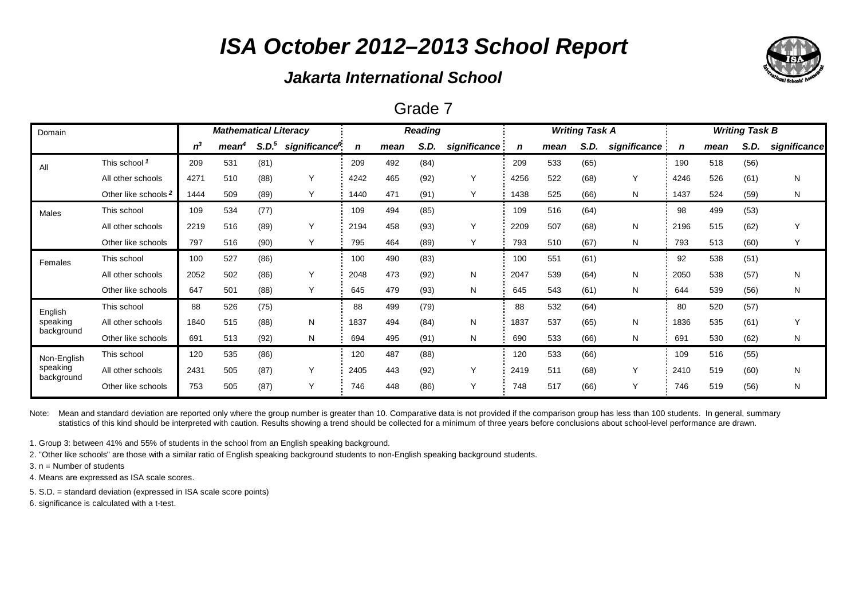## *Jakarta International School*

### Grade 7

| Domain                 |                                 | <b>Mathematical Literacy</b> |                   |                   |                           |             | <b>Reading</b> |      |              |      | <b>Writing Task A</b> |      | <b>Writing Task B</b> |             |      |      |              |
|------------------------|---------------------------------|------------------------------|-------------------|-------------------|---------------------------|-------------|----------------|------|--------------|------|-----------------------|------|-----------------------|-------------|------|------|--------------|
|                        |                                 | $n^3$                        | mean <sup>4</sup> | S.D. <sup>5</sup> | significance <sup>6</sup> | $\mathbf n$ | mean           | S.D. | significance | n    | mean                  | S.D. | significance          | $\mathbf n$ | mean | S.D. | significance |
| All                    | This school 1                   | 209                          | 531               | (81)              |                           | 209         | 492            | (84) |              | 209  | 533                   | (65) |                       | 190         | 518  | (56) |              |
|                        | All other schools               | 4271                         | 510               | (88)              | ٧                         | 4242        | 465            | (92) | Y            | 4256 | 522                   | (68) | Y                     | 4246        | 526  | (61) | N            |
|                        | Other like schools <sup>2</sup> | 1444                         | 509               | (89)              |                           | 1440        | 471            | (91) | Υ            | 1438 | 525                   | (66) | N                     | 1437        | 524  | (59) | N            |
| Males                  | This school                     | 109                          | 534               | (77)              |                           | 109         | 494            | (85) |              | 109  | 516                   | (64) |                       | 98          | 499  | (53) |              |
|                        | All other schools               | 2219                         | 516               | (89)              | ٧                         | 2194        | 458            | (93) | Υ            | 2209 | 507                   | (68) | N                     | 2196        | 515  | (62) | Y            |
|                        | Other like schools              | 797                          | 516               | (90)              |                           | 795         | 464            | (89) | Υ            | 793  | 510                   | (67) | N                     | 793         | 513  | (60) |              |
| Females                | This school                     | 100                          | 527               | (86)              |                           | 100         | 490            | (83) |              | 100  | 551                   | (61) |                       | 92          | 538  | (51) |              |
|                        | All other schools               | 2052                         | 502               | (86)              | ٧                         | 2048        | 473            | (92) | N            | 2047 | 539                   | (64) | N                     | 2050        | 538  | (57) | N            |
|                        | Other like schools              | 647                          | 501               | (88)              |                           | 645         | 479            | (93) | N            | 645  | 543                   | (61) | N                     | 644         | 539  | (56) | N            |
| English                | This school                     | 88                           | 526               | (75)              |                           | 88          | 499            | (79) |              | 88   | 532                   | (64) |                       | 80          | 520  | (57) |              |
| speaking               | All other schools               | 1840                         | 515               | (88)              | N                         | 1837        | 494            | (84) | N            | 1837 | 537                   | (65) | N                     | 1836        | 535  | (61) | Y            |
| background             | Other like schools              | 691                          | 513               | (92)              | N                         | 694         | 495            | (91) | N            | 690  | 533                   | (66) | N                     | 691         | 530  | (62) | N            |
| Non-English            | This school                     | 120                          | 535               | (86)              |                           | 120         | 487            | (88) |              | 120  | 533                   | (66) |                       | 109         | 516  | (55) |              |
| speaking<br>background | All other schools               | 2431                         | 505               | (87)              | Υ                         | 2405        | 443            | (92) | Υ            | 2419 | 511                   | (68) | Y                     | 2410        | 519  | (60) | N            |
|                        | Other like schools              | 753                          | 505               | (87)              |                           | 746         | 448            | (86) | Υ            | 748  | 517                   | (66) | Y                     | 746         | 519  | (56) | N            |

Note: Mean and standard deviation are reported only where the group number is greater than 10. Comparative data is not provided if the comparison group has less than 100 students. In general, summary statistics of this kind should be interpreted with caution. Results showing a trend should be collected for a minimum of three years before conclusions about school-level performance are drawn.

1. Group 3: between 41% and 55% of students in the school from an English speaking background.

2. "Other like schools" are those with a similar ratio of English speaking background students to non-English speaking background students.

3. n = Number of students

4. Means are expressed as ISA scale scores.

5. S.D. = standard deviation (expressed in ISA scale score points)

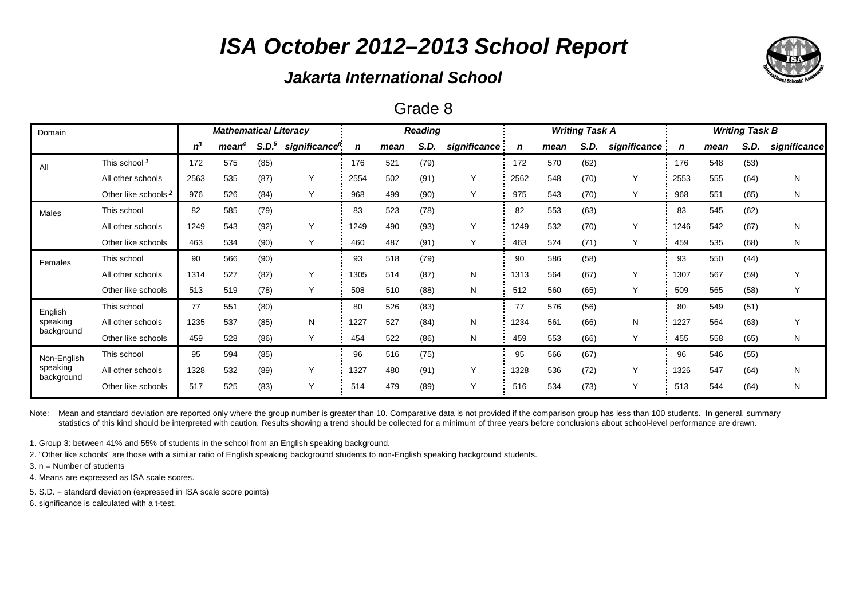## *Jakarta International School*

### Grade 8

| Domain                 | <b>Mathematical Literacy</b> |       |                   |                   |                           |             |      | <b>Reading</b> |              |      |      | <b>Writing Task A</b> |              | <b>Writing Task B</b> |      |      |              |  |
|------------------------|------------------------------|-------|-------------------|-------------------|---------------------------|-------------|------|----------------|--------------|------|------|-----------------------|--------------|-----------------------|------|------|--------------|--|
|                        |                              | $n^3$ | mean <sup>4</sup> | S.D. <sup>5</sup> | significance <sup>6</sup> | $\mathbf n$ | mean | S.D.           | significance | n    | mean | S.D.                  | significance | n                     | mean | S.D. | significance |  |
| All                    | This school 1                | 172   | 575               | (85)              |                           | 176         | 521  | (79)           |              | 172  | 570  | (62)                  |              | 176                   | 548  | (53) |              |  |
|                        | All other schools            | 2563  | 535               | (87)              | Υ                         | 2554        | 502  | (91)           | Y            | 2562 | 548  | (70)                  | Y            | 2553                  | 555  | (64) | N            |  |
|                        | Other like schools 2         | 976   | 526               | (84)              | Υ                         | 968         | 499  | (90)           | Υ            | 975  | 543  | (70)                  | Y            | 968                   | 551  | (65) | N            |  |
| Males                  | This school                  | 82    | 585               | (79)              |                           | 83          | 523  | (78)           |              | 82   | 553  | (63)                  |              | 83                    | 545  | (62) |              |  |
|                        | All other schools            | 1249  | 543               | (92)              | Υ                         | 1249        | 490  | (93)           | Y            | 1249 | 532  | (70)                  | Y            | 1246                  | 542  | (67) | N            |  |
|                        | Other like schools           | 463   | 534               | (90)              | Y                         | 460         | 487  | (91)           | Y            | 463  | 524  | (71)                  | Y            | 459                   | 535  | (68) | N            |  |
| Females                | This school                  | 90    | 566               | (90)              |                           | 93          | 518  | (79)           |              | 90   | 586  | (58)                  |              | 93                    | 550  | (44) |              |  |
|                        | All other schools            | 1314  | 527               | (82)              | Υ                         | 1305        | 514  | (87)           | N            | 1313 | 564  | (67)                  | Y            | 1307                  | 567  | (59) | Υ            |  |
|                        | Other like schools           | 513   | 519               | (78)              | Y                         | 508         | 510  | (88)           | N            | 512  | 560  | (65)                  | Y            | 509                   | 565  | (58) | Y            |  |
| English                | This school                  | 77    | 551               | (80)              |                           | 80          | 526  | (83)           |              | 77   | 576  | (56)                  |              | 80                    | 549  | (51) |              |  |
| speaking               | All other schools            | 1235  | 537               | (85)              | N                         | 1227        | 527  | (84)           | N            | 1234 | 561  | (66)                  | N            | 1227                  | 564  | (63) | Υ            |  |
| background             | Other like schools           | 459   | 528               | (86)              | Y                         | 454         | 522  | (86)           | N            | 459  | 553  | (66)                  | Y            | 455                   | 558  | (65) | N            |  |
| Non-English            | This school                  | 95    | 594               | (85)              |                           | 96          | 516  | (75)           |              | 95   | 566  | (67)                  |              | 96                    | 546  | (55) |              |  |
| speaking<br>background | All other schools            | 1328  | 532               | (89)              | Υ                         | 1327        | 480  | (91)           | Y            | 1328 | 536  | (72)                  | Y            | 1326                  | 547  | (64) | N            |  |
|                        | Other like schools           | 517   | 525               | (83)              | Y                         | 514         | 479  | (89)           | Y            | 516  | 534  | (73)                  | Y            | 513                   | 544  | (64) | N            |  |

Note: Mean and standard deviation are reported only where the group number is greater than 10. Comparative data is not provided if the comparison group has less than 100 students. In general, summary statistics of this kind should be interpreted with caution. Results showing a trend should be collected for a minimum of three years before conclusions about school-level performance are drawn.

1. Group 3: between 41% and 55% of students in the school from an English speaking background.

2. "Other like schools" are those with a similar ratio of English speaking background students to non-English speaking background students.

3. n = Number of students

4. Means are expressed as ISA scale scores.

5. S.D. = standard deviation (expressed in ISA scale score points)

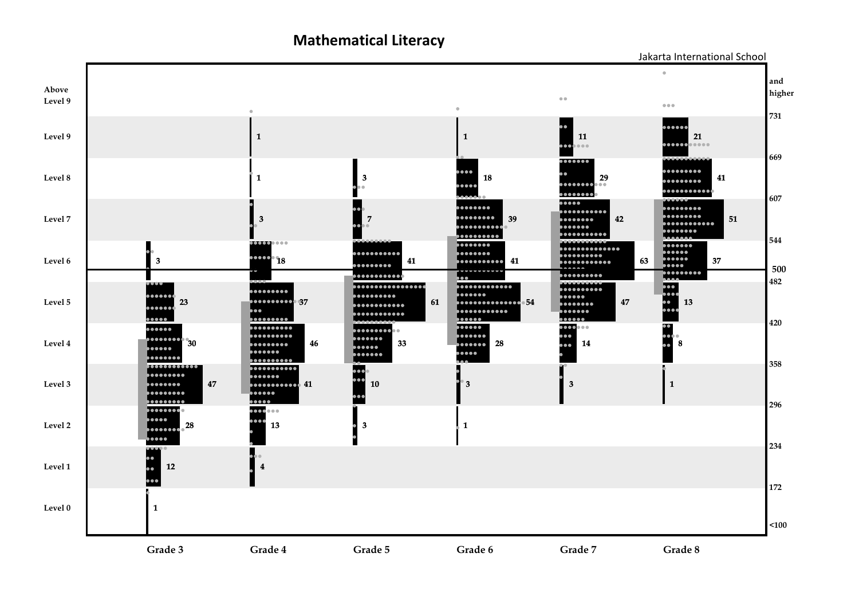**Mathematical Literacy**



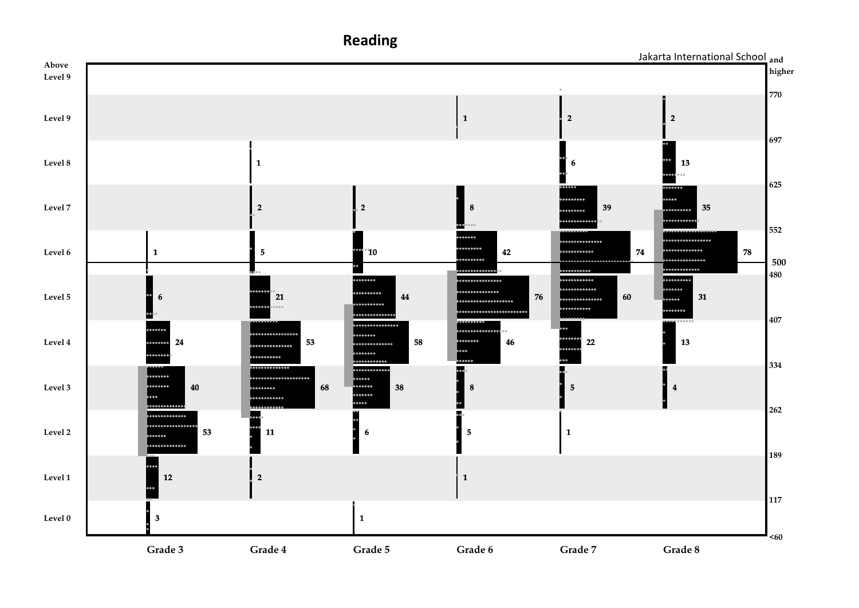**and** Jakarta International School**Above higher Level 9 770 Level 9 1 2 2 697 Level 8 6 13 1 625 9888884** h a a **Level 7 2 2 8 39 35** ...... ........ .......... **552**  $00000$ .............. ............ ........ .......... ............. **Level 6 1 5 10 42 74 78** . . . . . . . . . . . . . . **500** .......... ........... ,,,,,,,,,,,,, **480** ........ . . . . . . . . . . . . . . . . . ......... . . . . . . . . . . . . . .... ............ ......... **Level 5 6 21 76 60 31 44** .... ............. ................... ......... .<br>... ......... ...................... ,,,,,, .<br>. **. . . . . . . . . . . . .** . **407** . . . . . . . . . . . . . . . . .............. ........ **Level 4 24 53** ............. **58 46 22 13**  $......$ .............. ....... .......... ........... **334 TTTTTTTTTTTTT** ............. m. .................... ..... ....... **Level 3 40**  $\frac{1}{1}$ **68 38 8 5 4** ...... ...........  $\cdots$ ....... **262** l... ÷. ............. **Level 2 53 11 6 5 1** ........... **189 Level 1 12 2 1 117 Level 0 3 1**

**Grade 3 Grade 4 Grade 5 Grade 6 Grade 7 Grade 8**

**Reading**

**<60**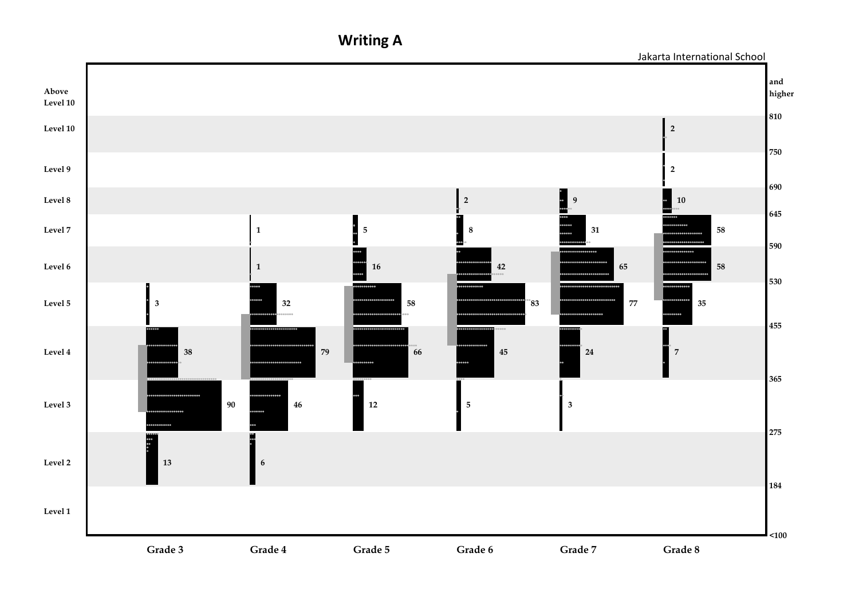**Writing A**